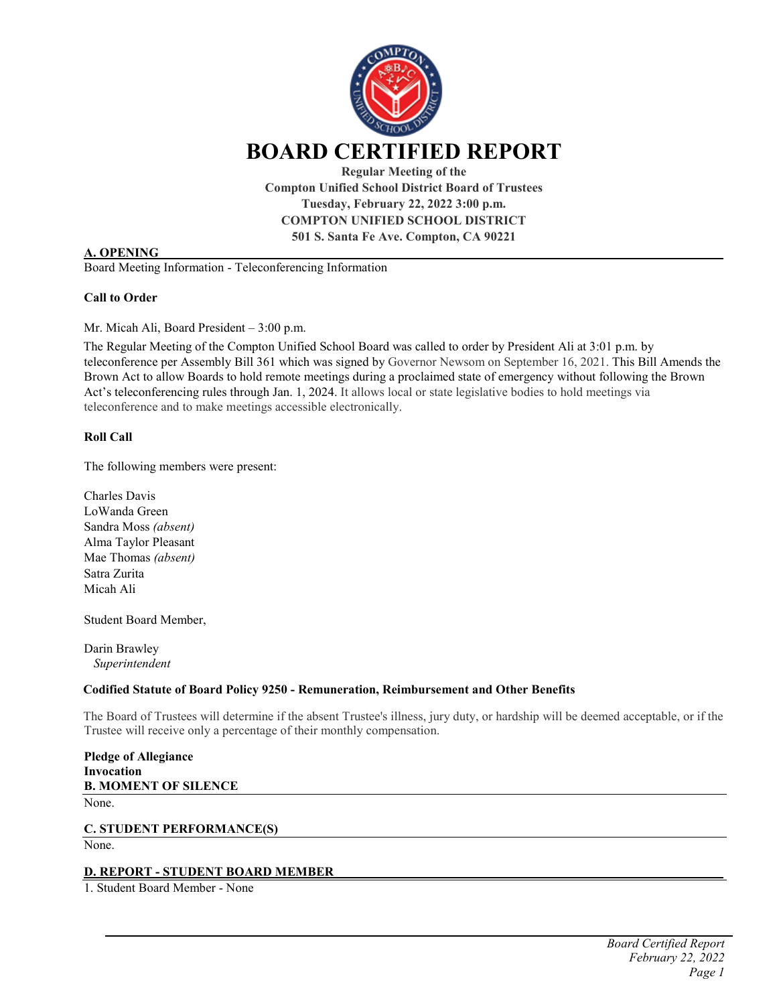

**Compton Unified School District Board of Trustees Tuesday, February 22, 2022 3:00 p.m. COMPTON UNIFIED SCHOOL DISTRICT 501 S. Santa Fe Ave. Compton, CA 90221**

# **A. OPENING**

Board Meeting Information - Teleconferencing Information

#### **Call to Order**

Mr. Micah Ali, Board President – 3:00 p.m.

The Regular Meeting of the Compton Unified School Board was called to order by President Ali at 3:01 p.m. by teleconference per Assembly Bill 361 which was signed by Governor Newsom on September 16, 2021. This Bill Amends the Brown Act to allow Boards to hold remote meetings during a proclaimed state of emergency without following the Brown Act's teleconferencing rules through Jan. 1, 2024. It allows local or state legislative bodies to hold meetings via teleconference and to make meetings accessible electronically.

# **Roll Call**

The following members were present:

Charles Davis LoWanda Green Sandra Moss *(absent)* Alma Taylor Pleasant Mae Thomas *(absent)* Satra Zurita Micah Ali

Student Board Member,

Darin Brawley *Superintendent* 

#### **Codified Statute of Board Policy 9250 - Remuneration, Reimbursement and Other Benefits**

The Board of Trustees will determine if the absent Trustee's illness, jury duty, or hardship will be deemed acceptable, or if the Trustee will receive only a percentage of their monthly compensation.

```
Pledge of Allegiance 
Invocation
B. MOMENT OF SILENCE
```
None.

#### **C. STUDENT PERFORMANCE(S)**

None.

#### **D. REPORT - STUDENT BOARD MEMBER**

1. Student Board Member - None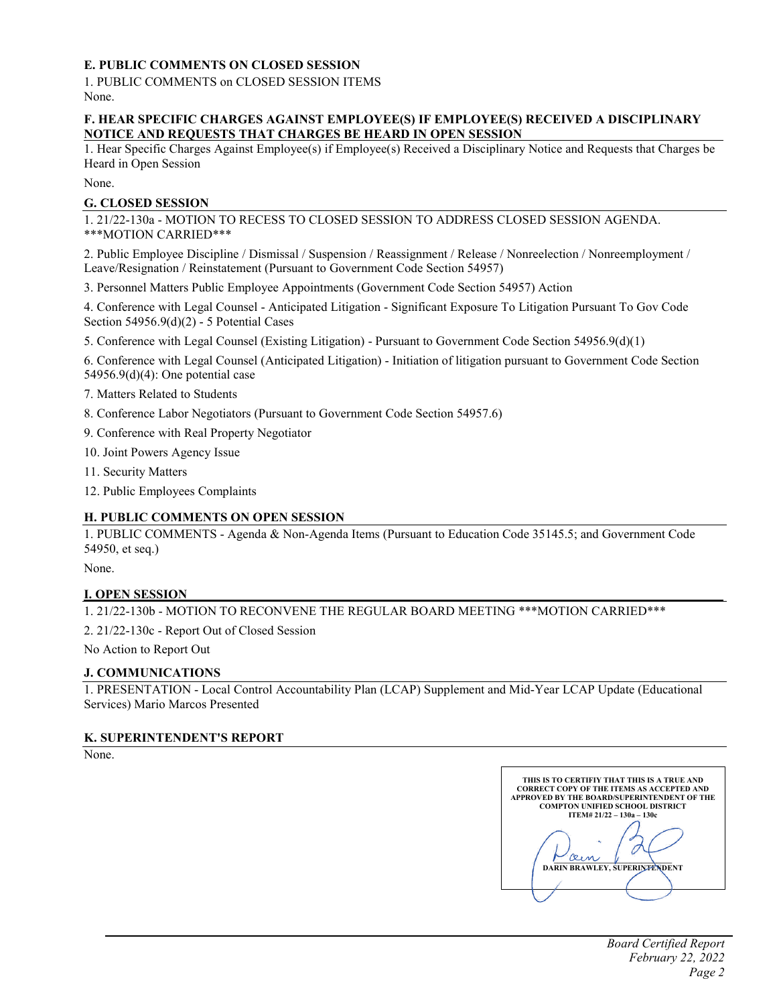# **E. PUBLIC COMMENTS ON CLOSED SESSION**

1. PUBLIC COMMENTS on CLOSED SESSION ITEMS None.

# **F. HEAR SPECIFIC CHARGES AGAINST EMPLOYEE(S) IF EMPLOYEE(S) RECEIVED A DISCIPLINARY NOTICE AND REQUESTS THAT CHARGES BE HEARD IN OPEN SESSION**

1. Hear Specific Charges Against Employee(s) if Employee(s) Received a Disciplinary Notice and Requests that Charges be Heard in Open Session

None.

# **G. CLOSED SESSION**

1. 21/22-130a - MOTION TO RECESS TO CLOSED SESSION TO ADDRESS CLOSED SESSION AGENDA. \*\*\*MOTION CARRIED\*\*\*

2. Public Employee Discipline / Dismissal / Suspension / Reassignment / Release / Nonreelection / Nonreemployment / Leave/Resignation / Reinstatement (Pursuant to Government Code Section 54957)

3. Personnel Matters Public Employee Appointments (Government Code Section 54957) Action

4. Conference with Legal Counsel - Anticipated Litigation - Significant Exposure To Litigation Pursuant To Gov Code Section 54956.9(d)(2) - 5 Potential Cases

5. Conference with Legal Counsel (Existing Litigation) - Pursuant to Government Code Section 54956.9(d)(1)

6. Conference with Legal Counsel (Anticipated Litigation) - Initiation of litigation pursuant to Government Code Section 54956.9(d)(4): One potential case

7. Matters Related to Students

- 8. Conference Labor Negotiators (Pursuant to Government Code Section 54957.6)
- 9. Conference with Real Property Negotiator
- 10. Joint Powers Agency Issue
- 11. Security Matters
- 12. Public Employees Complaints

# **H. PUBLIC COMMENTS ON OPEN SESSION**

1. PUBLIC COMMENTS - Agenda & Non-Agenda Items (Pursuant to Education Code 35145.5; and Government Code 54950, et seq.)

None.

# **I. OPEN SESSION**

1. 21/22-130b - MOTION TO RECONVENE THE REGULAR BOARD MEETING \*\*\*MOTION CARRIED\*\*\*

2. 21/22-130c - Report Out of Closed Session

No Action to Report Out

# **J. COMMUNICATIONS**

1. PRESENTATION - Local Control Accountability Plan (LCAP) Supplement and Mid-Year LCAP Update (Educational Services) Mario Marcos Presented

# **K. SUPERINTENDENT'S REPORT**

None.

**THIS IS TO CERTIFIY THAT THIS IS A TRUE AND CORRECT COPY OF THE ITEMS AS ACCEPTED AND APPROVED BY THE BOARD/SUPERINTENDENT OF THE COMPTON UNIFIED SCHOOL DISTRICT ITEM# 21/22 – 130a – 130c \_\_\_\_\_\_\_\_\_\_\_\_\_\_\_\_\_\_\_\_\_\_\_\_\_\_\_\_\_\_\_ DARIN BRAWLEY, SUPERINTENDENT**